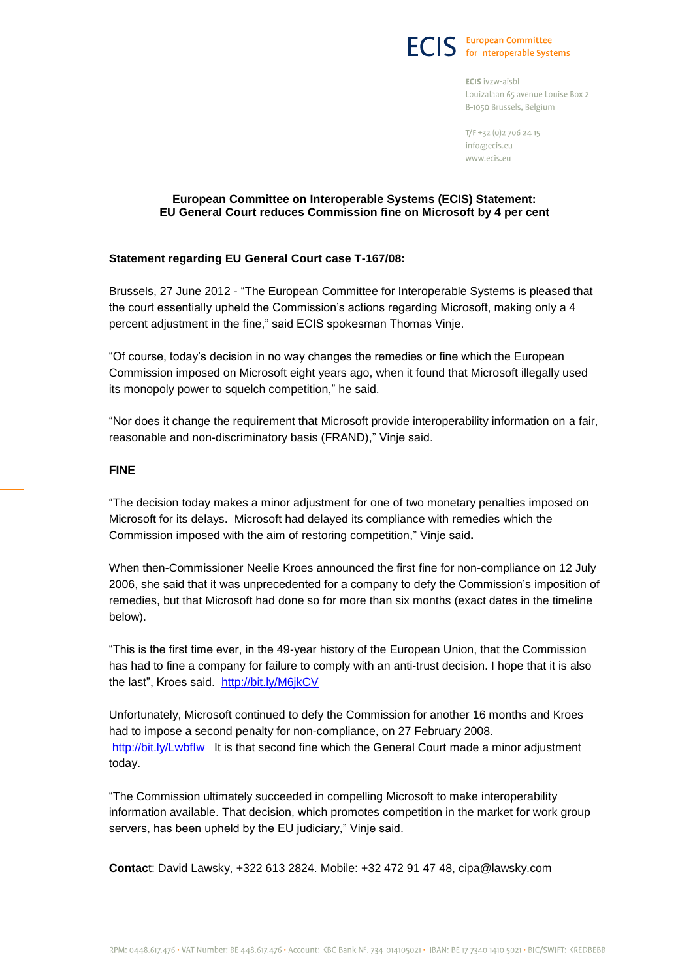

ECIS ivzw-aisbl Louizalaan 65 avenue Louise Box 2 B-1050 Brussels, Belgium

T/F +32 (0) 2 706 24 15 info@ecis.eu www.ecis.eu

## **European Committee on Interoperable Systems (ECIS) Statement: EU General Court reduces Commission fine on Microsoft by 4 per cent**

# **Statement regarding EU General Court case T-167/08:**

Brussels, 27 June 2012 - "The European Committee for Interoperable Systems is pleased that the court essentially upheld the Commission's actions regarding Microsoft, making only a 4 percent adjustment in the fine," said ECIS spokesman Thomas Vinje.

"Of course, today's decision in no way changes the remedies or fine which the European Commission imposed on Microsoft eight years ago, when it found that Microsoft illegally used its monopoly power to squelch competition," he said.

"Nor does it change the requirement that Microsoft provide interoperability information on a fair, reasonable and non-discriminatory basis (FRAND)," Vinje said.

# **FINE**

"The decision today makes a minor adjustment for one of two monetary penalties imposed on Microsoft for its delays. Microsoft had delayed its compliance with remedies which the Commission imposed with the aim of restoring competition," Vinje said**.**

When then-Commissioner Neelie Kroes announced the first fine for non-compliance on 12 July 2006, she said that it was unprecedented for a company to defy the Commission's imposition of remedies, but that Microsoft had done so for more than six months (exact dates in the timeline below).

"This is the first time ever, in the 49-year history of the European Union, that the Commission has had to fine a company for failure to comply with an anti-trust decision. I hope that it is also the last", Kroes said. <http://bit.ly/M6jkCV>

Unfortunately, Microsoft continued to defy the Commission for another 16 months and Kroes had to impose a second penalty for non-compliance, on 27 February 2008. http://bit.ly/Lwbflw It is that second fine which the General Court made a minor adjustment today.

"The Commission ultimately succeeded in compelling Microsoft to make interoperability information available. That decision, which promotes competition in the market for work group servers, has been upheld by the EU judiciary," Vinje said.

**Contac**t: David Lawsky, +322 613 2824. Mobile: +32 472 91 47 48, cipa@lawsky.com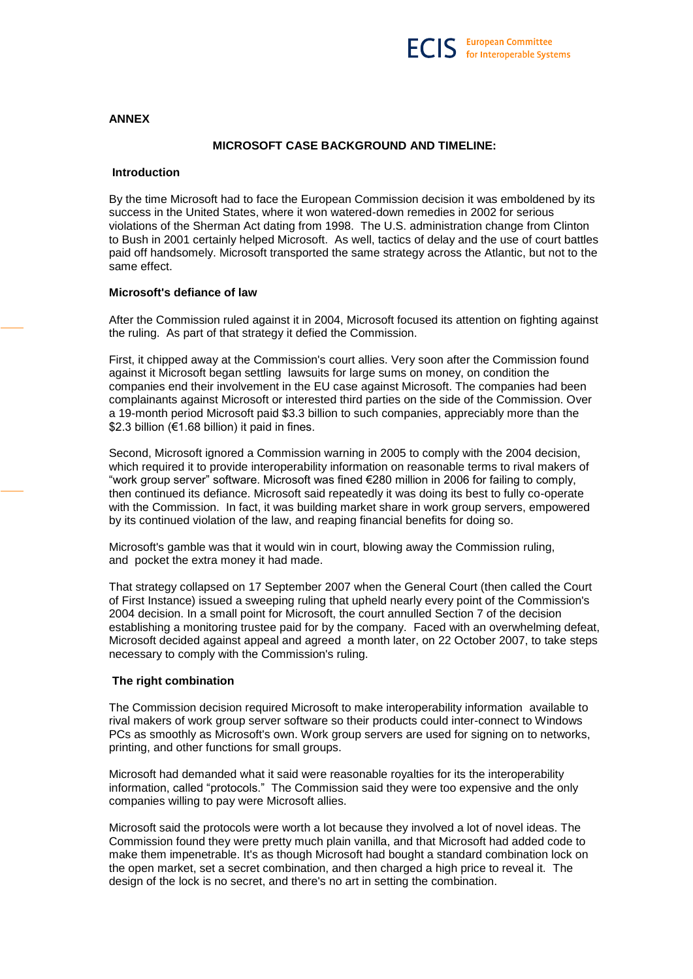#### **ANNEX**

## **MICROSOFT CASE BACKGROUND AND TIMELINE:**

#### **Introduction**

By the time Microsoft had to face the European Commission decision it was emboldened by its success in the United States, where it won watered-down remedies in 2002 for serious violations of the Sherman Act dating from 1998. The U.S. administration change from Clinton to Bush in 2001 certainly helped Microsoft. As well, tactics of delay and the use of court battles paid off handsomely. Microsoft transported the same strategy across the Atlantic, but not to the same effect.

#### **Microsoft's defiance of law**

After the Commission ruled against it in 2004, Microsoft focused its attention on fighting against the ruling. As part of that strategy it defied the Commission.

First, it chipped away at the Commission's court allies. Very soon after the Commission found against it Microsoft began settling lawsuits for large sums on money, on condition the companies end their involvement in the EU case against Microsoft. The companies had been complainants against Microsoft or interested third parties on the side of the Commission. Over a 19-month period Microsoft paid \$3.3 billion to such companies, appreciably more than the \$2.3 billion (€1.68 billion) it paid in fines.

Second, Microsoft ignored a Commission warning in 2005 to comply with the 2004 decision, which required it to provide interoperability information on reasonable terms to rival makers of "work group server" software. Microsoft was fined €280 million in 2006 for failing to comply, then continued its defiance. Microsoft said repeatedly it was doing its best to fully co-operate with the Commission. In fact, it was building market share in work group servers, empowered by its continued violation of the law, and reaping financial benefits for doing so.

Microsoft's gamble was that it would win in court, blowing away the Commission ruling, and pocket the extra money it had made.

That strategy collapsed on 17 September 2007 when the General Court (then called the Court of First Instance) issued a sweeping ruling that upheld nearly every point of the Commission's 2004 decision. In a small point for Microsoft, the court annulled Section 7 of the decision establishing a monitoring trustee paid for by the company. Faced with an overwhelming defeat, Microsoft decided against appeal and agreed a month later, on 22 October 2007, to take steps necessary to comply with the Commission's ruling.

# **The right combination**

The Commission decision required Microsoft to make interoperability information available to rival makers of work group server software so their products could inter-connect to Windows PCs as smoothly as Microsoft's own. Work group servers are used for signing on to networks, printing, and other functions for small groups.

Microsoft had demanded what it said were reasonable royalties for its the interoperability information, called "protocols." The Commission said they were too expensive and the only companies willing to pay were Microsoft allies.

Microsoft said the protocols were worth a lot because they involved a lot of novel ideas. The Commission found they were pretty much plain vanilla, and that Microsoft had added code to make them impenetrable. It's as though Microsoft had bought a standard combination lock on the open market, set a secret combination, and then charged a high price to reveal it. The design of the lock is no secret, and there's no art in setting the combination.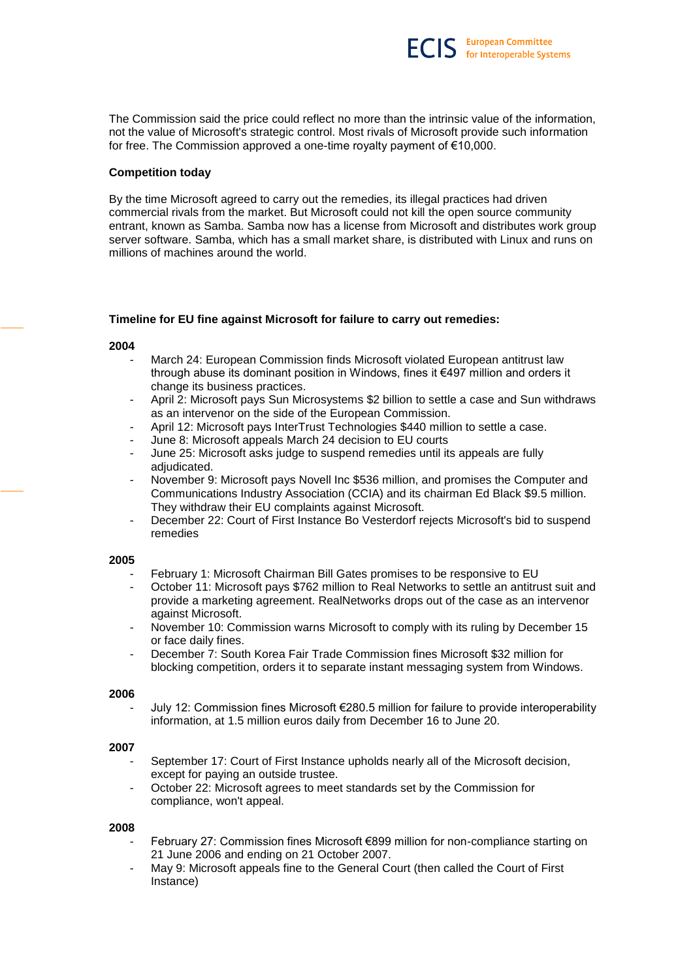The Commission said the price could reflect no more than the intrinsic value of the information, not the value of Microsoft's strategic control. Most rivals of Microsoft provide such information for free. The Commission approved a one-time royalty payment of €10,000.

## **Competition today**

By the time Microsoft agreed to carry out the remedies, its illegal practices had driven commercial rivals from the market. But Microsoft could not kill the open source community entrant, known as Samba. Samba now has a license from Microsoft and distributes work group server software. Samba, which has a small market share, is distributed with Linux and runs on millions of machines around the world.

# **Timeline for EU fine against Microsoft for failure to carry out remedies:**

## **2004**

- March 24: European Commission finds Microsoft violated European antitrust law through abuse its dominant position in Windows, fines it €497 million and orders it change its business practices.
- April 2: Microsoft pays Sun Microsystems \$2 billion to settle a case and Sun withdraws as an intervenor on the side of the European Commission.
- April 12: Microsoft pays InterTrust Technologies \$440 million to settle a case.
- June 8: Microsoft appeals March 24 decision to EU courts
- June 25: Microsoft asks judge to suspend remedies until its appeals are fully adiudicated.
- November 9: Microsoft pays Novell Inc \$536 million, and promises the Computer and Communications Industry Association (CCIA) and its chairman Ed Black \$9.5 million. They withdraw their EU complaints against Microsoft.
- December 22: Court of First Instance Bo Vesterdorf rejects Microsoft's bid to suspend remedies

## **2005**

- February 1: Microsoft Chairman Bill Gates promises to be responsive to EU
- October 11: Microsoft pays \$762 million to Real Networks to settle an antitrust suit and provide a marketing agreement. RealNetworks drops out of the case as an intervenor against Microsoft.
- November 10: Commission warns Microsoft to comply with its ruling by December 15 or face daily fines.
- December 7: South Korea Fair Trade Commission fines Microsoft \$32 million for blocking competition, orders it to separate instant messaging system from Windows.

## **2006**

- July 12: Commission fines Microsoft €280.5 million for failure to provide interoperability information, at 1.5 million euros daily from December 16 to June 20.

## **2007**

- September 17: Court of First Instance upholds nearly all of the Microsoft decision, except for paying an outside trustee.
- October 22: Microsoft agrees to meet standards set by the Commission for compliance, won't appeal.

#### **2008**

- February 27: Commission fines Microsoft €899 million for non-compliance starting on 21 June 2006 and ending on 21 October 2007.
- May 9: Microsoft appeals fine to the General Court (then called the Court of First Instance)